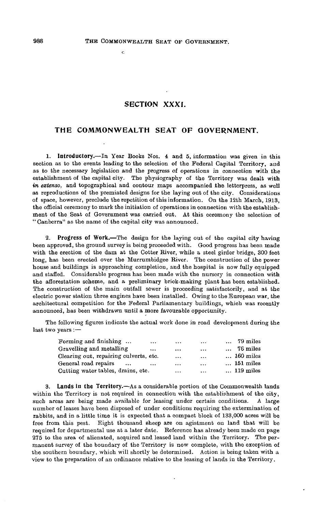$\epsilon$ 

## **SECTION XXXI.**

## **THE COMMONWEALTH SEAT OF GOVERNMENT.**

**1. Introductory.**—In Year Books Nos. 4 and 5, information was given in this section as to the events leading to the selection of the Federal Capital Territory, and as to the necessary legislation and the progress of operations in connection with the establishment of the capital city. The physiography of the Territory was dealt with *in extenso.* and topographical and contour maps accompanied the letterpress, as well as reproductions of the premiated designs for the laying out of the city. Considerations of space, however, preclude the repetition of this information. On the 12th March, 1913, the official ceremony to mark the initiation of operations in connection with the establishment of the Seat of Government was carried out. At this ceremony the selection of " Canberra" as the name of the capital city was announced.

**2. Progress of Work.**—The design for the laying out of the capital city having been approved, the ground survey is being proceeded with. Good progress has been made with the erection of the dam at the Cotter River, while a steel girder bridge, 300 feet long, has been erected over the Murrumbidgee River. The construction of the power house and buildings is approaching completion, and the hospital is now fully equipped and staffed. Considerable progress has been made with the nursery in connection with the afforestation scheme, and a preliminary brick-making plant has been established. The construction of the main outfall sewer is proceeding satisfactorily, and at the electric power station three engines have been installed. Owing to the European war, the architectural competition for the Federal Parliamentary buildings, which was recently announced, has been withdrawn until a more favourable opportunity.

The following figures indicate the actual work done in road development during the last two years :—

| $\cdots$                               | $\ddotsc$ | $\ddotsc$     | $\ldots$ 79 miles  |
|----------------------------------------|-----------|---------------|--------------------|
| $\cdots$                               | $\cdots$  | $\ddotsc$     | $\ldots$ 76 miles  |
| Clearing out, repairing culverts, etc. | $\cdots$  | $\cdots$      | $\ldots$ 160 miles |
| $\cdots$                               | $\cdots$  | $\cdots$      | $\ldots$ 151 miles |
| Cutting water tables, drains, etc.     | $\cdots$  | $\sim$ $\sim$ | $\ldots$ 119 miles |
|                                        |           |               |                    |

**3. Lands in the Territory.**—As a considerable portion of the Commonwealth lands within the Territory is not required in connection with the establishment of the city, such areas are being made available for leasing under certain conditions. A large number of leases have been disposed of under conditions requiring the extermination of rabbits, and in a little time it is expected that a compact block of 133,000 acres will be free from this pest. Eight thousand eheep are on agistment on land that will be required for departmental use at a later date. Reference has already been made on page 275 to the area of alienated, acquired and leased land within the Territory. The permanent survey of the boundary of the Territory is now complete, with the exception of the southern boundary, which will shortly be determined. Action is being taken with a view to the preparation of an ordinance relative to the leasing of lands in the Territory.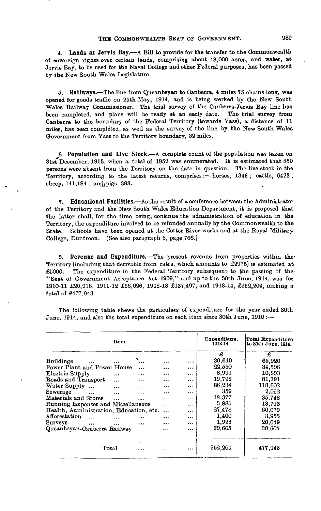## THE COMMONWEALTH SEAT OF GOVERNMENT. 989

**4. Lands at Jervls Bay.**—A Bill to provide for the transfer to the Commonwealth of sovereign rights over certain lauds, comprising about 18,000 acres, and water, at Jervis Bay, to be used for the Naval College and other Federal purposes, has been passed by the New South Wales Legislature.

**5. Railways.**—The line from Queanbeyan to Canberra, 4 miles 75 chains long, was opened for goods traffic on 25th May, 1914, and is being worked by the New South Wales Railway Commissioner. The trial survey of the Canberra-Jervis Bay line has been completed, and plans will be ready at an early date. The trial survey from Canberra to the boundary of the Federal Territory (towards Yass), a distance of 11 miles, has been completed, as well as the survey of the line by the New South Wales Government from Yass to the Territory boundary, 32 miles.

**6. Population and Live Stock.**—A complete count of the population was taken on 31st December, 1913, when a total of 1952 was enumerated. It is estimated that 850 persons were absent from the Territory on the date in question. The live stock in the Territory, according to the latest returns, comprises:—horses, 1343 ; cattle, 6423 ; sheep,  $141,184$ ; and pigs, 393.

**T. Educational Facilities.**—As the result of a conference between the Administrator of the Territory and the New South Wales Education Department, it is proposed that the latter shall, for the time being, continue the administration of education in the Territory, the expenditure involved to be refunded annually by the Commonwealth to the State. Schools have been opened at the Cotter River works and at the Royal Military College, Duntroon. (See also paragraph 3, page 766.)

**S. Revenue and Expenditure.**—The present revenue from properties within the-Territory (including that derivable from rates, which amounts to £2975) is estimated at £5000. The expenditure in the Federal Territory subsequent to the passing of the-"Seat of Government Acceptance Act 1909," and up to the 30th June, 1914, was for' 1910-11 £20,216, 1911-12 £68,026, 1912-13 £137,497, and 1913-14, £252,204, making a total of £477,943.

The following table shews the particulars of expenditure for the year ended 30th June, 1914, and also the total expenditure on each item since 30th June, 1910 :—

|                                         | Item.     |          |           |          | Expenditure.<br>1913-14. | Total Expenditure<br>to 30th June, 1914. |
|-----------------------------------------|-----------|----------|-----------|----------|--------------------------|------------------------------------------|
|                                         |           |          |           |          | £                        | £                                        |
| <b>Buildings</b>                        |           |          |           | $\cdots$ | 30,610                   | 65,920                                   |
| Power Plant and Power House             |           | $\cdots$ |           | $\cdots$ | 22,550                   | 34,506                                   |
| Electric Supply                         | $\cdots$  | $\cdots$ |           | $\cdots$ | 8,991                    | 10,803                                   |
| Roads and Transport                     | $\cdots$  | $\cdots$ | .         |          | 19,792                   | 81.791                                   |
| Water Supply                            | $\ddotsc$ | .        |           | $\cdots$ | 86,234                   | 118,602                                  |
| Sewerage<br>$\cdots$                    | $\cdots$  | .        |           | $\cdots$ | 359                      | 2,092                                    |
| Materials and Stores                    | $\cdots$  | .        |           | $\cdots$ | 18,377                   | 35.748                                   |
| Running Expenses and Miscellaneous      |           |          |           |          | 3,885                    | 13,793                                   |
| Health, Administration, Education, etc. |           |          |           | $\cdots$ | 27,478                   | 60.079                                   |
| Afforestation<br>$\ddotsc$              |           |          |           | $\cdots$ | 1,400                    | 3.955                                    |
| Surveys<br>$\cdots$                     |           | $\cdots$ | $\ddotsc$ | $\cdots$ | 1,923                    | 20.049                                   |
| Queanbeyan-Canberra Railway             |           | $\cdots$ | $\ddotsc$ | $\cdots$ | 30,605                   | 30.605                                   |
|                                         |           |          |           |          |                          |                                          |
| Total                                   |           |          |           | $\cdots$ | 252,204                  | 477,943                                  |